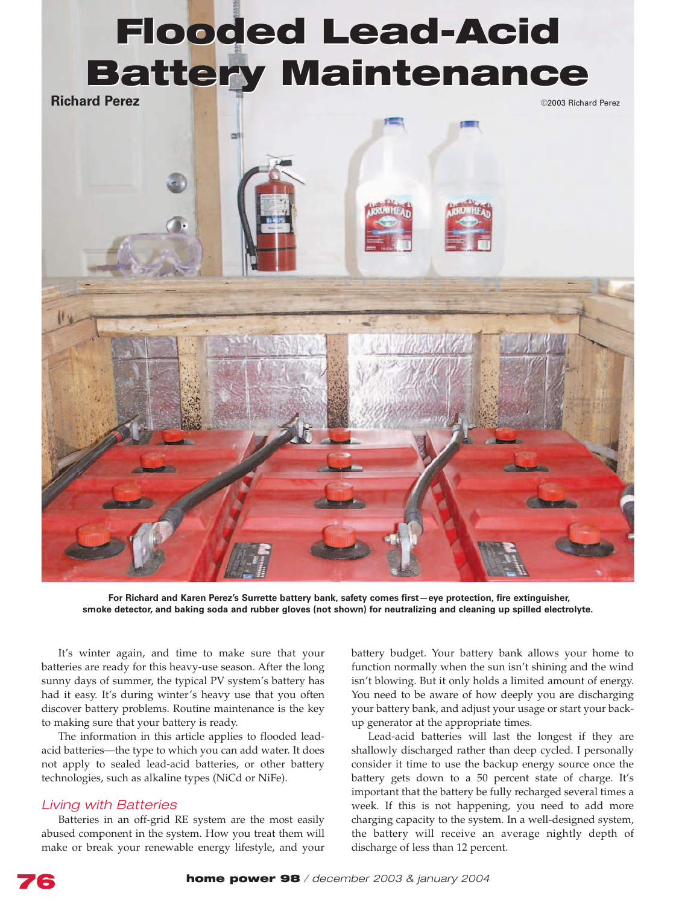# **Flooded Lead-Acid Flooded Lead-Acid Battery Maintenance Battery Maintenance**

**Richard Perez** ©2003 Richard Perez ©2003 Richard Perez



**For Richard and Karen Perez's Surrette battery bank, safety comes first—eye protection, fire extinguisher, smoke detector, and baking soda and rubber gloves (not shown) for neutralizing and cleaning up spilled electrolyte.**

It's winter again, and time to make sure that your batteries are ready for this heavy-use season. After the long sunny days of summer, the typical PV system's battery has had it easy. It's during winter's heavy use that you often discover battery problems. Routine maintenance is the key to making sure that your battery is ready.

The information in this article applies to flooded leadacid batteries—the type to which you can add water. It does not apply to sealed lead-acid batteries, or other battery technologies, such as alkaline types (NiCd or NiFe).

# *Living with Batteries*

Batteries in an off-grid RE system are the most easily abused component in the system. How you treat them will make or break your renewable energy lifestyle, and your battery budget. Your battery bank allows your home to function normally when the sun isn't shining and the wind isn't blowing. But it only holds a limited amount of energy. You need to be aware of how deeply you are discharging your battery bank, and adjust your usage or start your backup generator at the appropriate times.

Lead-acid batteries will last the longest if they are shallowly discharged rather than deep cycled. I personally consider it time to use the backup energy source once the battery gets down to a 50 percent state of charge. It's important that the battery be fully recharged several times a week. If this is not happening, you need to add more charging capacity to the system. In a well-designed system, the battery will receive an average nightly depth of discharge of less than 12 percent.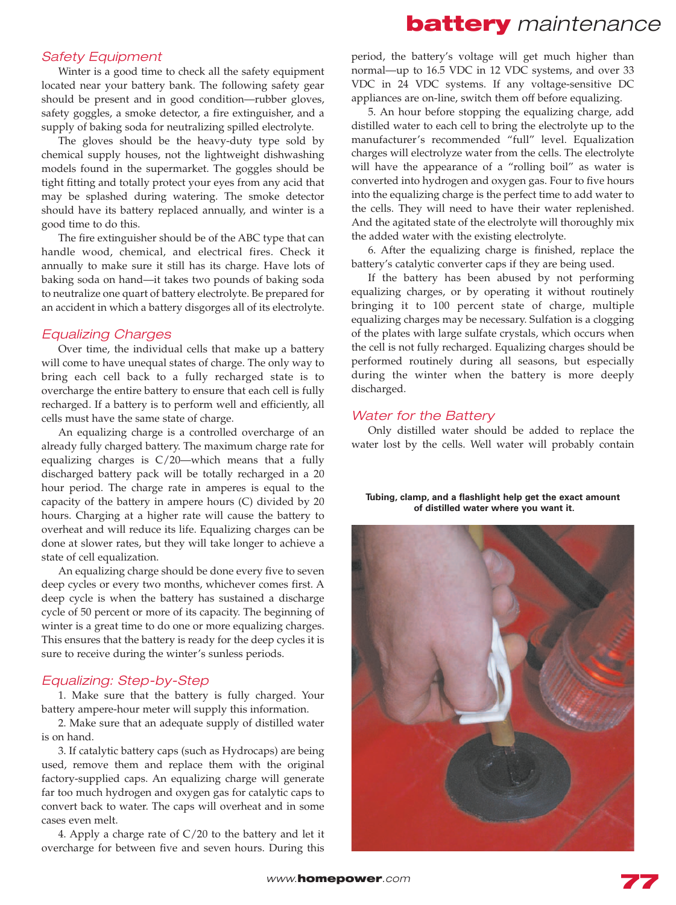# **battery** *maintenance*

# *Safety Equipment*

Winter is a good time to check all the safety equipment located near your battery bank. The following safety gear should be present and in good condition—rubber gloves, safety goggles, a smoke detector, a fire extinguisher, and a supply of baking soda for neutralizing spilled electrolyte.

The gloves should be the heavy-duty type sold by chemical supply houses, not the lightweight dishwashing models found in the supermarket. The goggles should be tight fitting and totally protect your eyes from any acid that may be splashed during watering. The smoke detector should have its battery replaced annually, and winter is a good time to do this.

The fire extinguisher should be of the ABC type that can handle wood, chemical, and electrical fires. Check it annually to make sure it still has its charge. Have lots of baking soda on hand—it takes two pounds of baking soda to neutralize one quart of battery electrolyte. Be prepared for an accident in which a battery disgorges all of its electrolyte.

# *Equalizing Charges*

Over time, the individual cells that make up a battery will come to have unequal states of charge. The only way to bring each cell back to a fully recharged state is to overcharge the entire battery to ensure that each cell is fully recharged. If a battery is to perform well and efficiently, all cells must have the same state of charge.

An equalizing charge is a controlled overcharge of an already fully charged battery. The maximum charge rate for equalizing charges is C/20—which means that a fully discharged battery pack will be totally recharged in a 20 hour period. The charge rate in amperes is equal to the capacity of the battery in ampere hours (C) divided by 20 hours. Charging at a higher rate will cause the battery to overheat and will reduce its life. Equalizing charges can be done at slower rates, but they will take longer to achieve a state of cell equalization.

An equalizing charge should be done every five to seven deep cycles or every two months, whichever comes first. A deep cycle is when the battery has sustained a discharge cycle of 50 percent or more of its capacity. The beginning of winter is a great time to do one or more equalizing charges. This ensures that the battery is ready for the deep cycles it is sure to receive during the winter's sunless periods.

## *Equalizing: Step-by-Step*

1. Make sure that the battery is fully charged. Your battery ampere-hour meter will supply this information.

2. Make sure that an adequate supply of distilled water is on hand.

3. If catalytic battery caps (such as Hydrocaps) are being used, remove them and replace them with the original factory-supplied caps. An equalizing charge will generate far too much hydrogen and oxygen gas for catalytic caps to convert back to water. The caps will overheat and in some cases even melt.

4. Apply a charge rate of C/20 to the battery and let it overcharge for between five and seven hours. During this period, the battery's voltage will get much higher than normal—up to 16.5 VDC in 12 VDC systems, and over 33 VDC in 24 VDC systems. If any voltage-sensitive DC appliances are on-line, switch them off before equalizing.

5. An hour before stopping the equalizing charge, add distilled water to each cell to bring the electrolyte up to the manufacturer's recommended "full" level. Equalization charges will electrolyze water from the cells. The electrolyte will have the appearance of a "rolling boil" as water is converted into hydrogen and oxygen gas. Four to five hours into the equalizing charge is the perfect time to add water to the cells. They will need to have their water replenished. And the agitated state of the electrolyte will thoroughly mix the added water with the existing electrolyte.

6. After the equalizing charge is finished, replace the battery's catalytic converter caps if they are being used.

If the battery has been abused by not performing equalizing charges, or by operating it without routinely bringing it to 100 percent state of charge, multiple equalizing charges may be necessary. Sulfation is a clogging of the plates with large sulfate crystals, which occurs when the cell is not fully recharged. Equalizing charges should be performed routinely during all seasons, but especially during the winter when the battery is more deeply discharged.

## *Water for the Battery*

Only distilled water should be added to replace the water lost by the cells. Well water will probably contain

#### **Tubing, clamp, and a flashlight help get the exact amount of distilled water where you want it.**

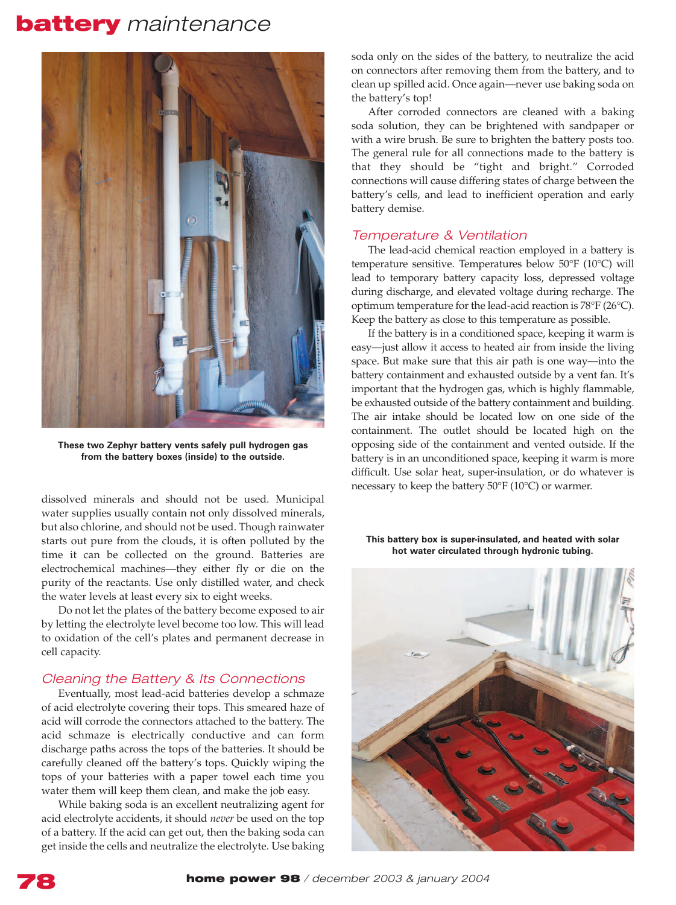# **battery** *maintenance*



**These two Zephyr battery vents safely pull hydrogen gas from the battery boxes (inside) to the outside.**

dissolved minerals and should not be used. Municipal water supplies usually contain not only dissolved minerals, but also chlorine, and should not be used. Though rainwater starts out pure from the clouds, it is often polluted by the time it can be collected on the ground. Batteries are electrochemical machines—they either fly or die on the purity of the reactants. Use only distilled water, and check the water levels at least every six to eight weeks.

Do not let the plates of the battery become exposed to air by letting the electrolyte level become too low. This will lead to oxidation of the cell's plates and permanent decrease in cell capacity.

# *Cleaning the Battery & Its Connections*

Eventually, most lead-acid batteries develop a schmaze of acid electrolyte covering their tops. This smeared haze of acid will corrode the connectors attached to the battery. The acid schmaze is electrically conductive and can form discharge paths across the tops of the batteries. It should be carefully cleaned off the battery's tops. Quickly wiping the tops of your batteries with a paper towel each time you water them will keep them clean, and make the job easy.

While baking soda is an excellent neutralizing agent for acid electrolyte accidents, it should *never* be used on the top of a battery. If the acid can get out, then the baking soda can get inside the cells and neutralize the electrolyte. Use baking

soda only on the sides of the battery, to neutralize the acid on connectors after removing them from the battery, and to clean up spilled acid. Once again—never use baking soda on the battery's top!

After corroded connectors are cleaned with a baking soda solution, they can be brightened with sandpaper or with a wire brush. Be sure to brighten the battery posts too. The general rule for all connections made to the battery is that they should be "tight and bright." Corroded connections will cause differing states of charge between the battery's cells, and lead to inefficient operation and early battery demise.

# *Temperature & Ventilation*

The lead-acid chemical reaction employed in a battery is temperature sensitive. Temperatures below 50°F (10°C) will lead to temporary battery capacity loss, depressed voltage during discharge, and elevated voltage during recharge. The optimum temperature for the lead-acid reaction is 78°F (26°C). Keep the battery as close to this temperature as possible.

If the battery is in a conditioned space, keeping it warm is easy—just allow it access to heated air from inside the living space. But make sure that this air path is one way—into the battery containment and exhausted outside by a vent fan. It's important that the hydrogen gas, which is highly flammable, be exhausted outside of the battery containment and building. The air intake should be located low on one side of the containment. The outlet should be located high on the opposing side of the containment and vented outside. If the battery is in an unconditioned space, keeping it warm is more difficult. Use solar heat, super-insulation, or do whatever is necessary to keep the battery 50°F (10°C) or warmer.

**This battery box is super-insulated, and heated with solar hot water circulated through hydronic tubing.**